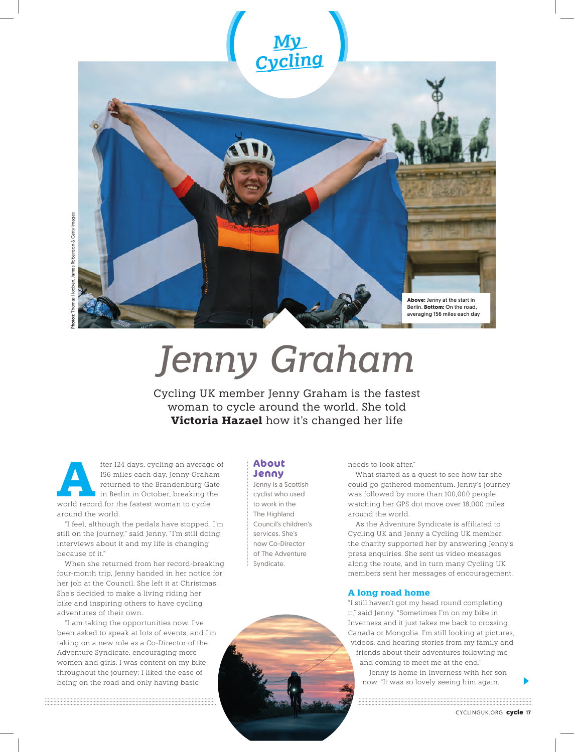

*Jenny Graham*

Cycling UK member Jenny Graham is the fastest woman to cycle around the world. She told **Victoria Hazael** how it's changed her life

Form 124 days, cycling an average of 156 miles each day, Jenny Graham returned to the Brandenburg Gate in Berlin in October, breaking the world record for the fastest woman to cycle 156 miles each day, Jenny Graham returned to the Brandenburg Gate in Berlin in October, breaking the around the world.

"I feel, although the pedals have stopped, I'm still on the journey," said Jenny. "I'm still doing interviews about it and my life is changing because of it."

When she returned from her record-breaking four-month trip, Jenny handed in her notice for her job at the Council. She left it at Christmas. She's decided to make a living riding her bike and inspiring others to have cycling adventures of their own.

"I am taking the opportunities now. I've been asked to speak at lots of events, and I'm taking on a new role as a Co-Director of the Adventure Syndicate, encouraging more women and girls. I was content on my bike throughout the journey; I liked the ease of being on the road and only having basic

## **About Jenny**

Jenny is a Scottish cyclist who used to work in the The Highland Council's children's services. She's now Co-Director of The Adventure Syndicate.

needs to look after."

What started as a quest to see how far she could go gathered momentum. Jenny's journey was followed by more than 100,000 people watching her GPS dot move over 18,000 miles around the world.

As the Adventure Syndicate is affiliated to Cycling UK and Jenny a Cycling UK member, the charity supported her by answering Jenny's press enquiries. She sent us video messages along the route, and in turn many Cycling UK members sent her messages of encouragement.

# **A long road home**

"I still haven't got my head round completing it," said Jenny. "Sometimes I'm on my bike in Inverness and it just takes me back to crossing Canada or Mongolia. I'm still looking at pictures, videos, and hearing stories from my family and friends about their adventures following me and coming to meet me at the end."

Jenny is home in Inverness with her son now. "It was so lovely seeing him again.